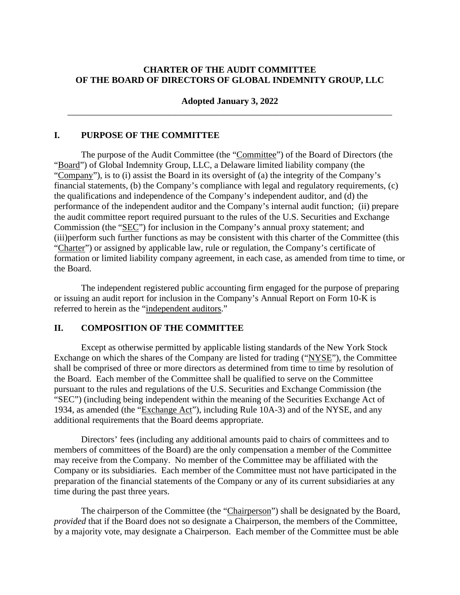### **CHARTER OF THE AUDIT COMMITTEE OF THE BOARD OF DIRECTORS OF GLOBAL INDEMNITY GROUP, LLC**

#### **Adopted January 3, 2022**  \_\_\_\_\_\_\_\_\_\_\_\_\_\_\_\_\_\_\_\_\_\_\_\_\_\_\_\_\_\_\_\_\_\_\_\_\_\_\_\_\_\_\_\_\_\_\_\_\_\_\_\_\_\_\_\_\_\_\_\_\_\_\_\_\_\_\_\_\_\_\_\_

#### **I. PURPOSE OF THE COMMITTEE**

The purpose of the Audit Committee (the "Committee") of the Board of Directors (the "Board") of Global Indemnity Group, LLC, a Delaware limited liability company (the "Company"), is to (i) assist the Board in its oversight of (a) the integrity of the Company's financial statements, (b) the Company's compliance with legal and regulatory requirements, (c) the qualifications and independence of the Company's independent auditor, and (d) the performance of the independent auditor and the Company's internal audit function; (ii) prepare the audit committee report required pursuant to the rules of the U.S. Securities and Exchange Commission (the "SEC") for inclusion in the Company's annual proxy statement; and (iii)perform such further functions as may be consistent with this charter of the Committee (this "Charter") or assigned by applicable law, rule or regulation, the Company's certificate of formation or limited liability company agreement, in each case, as amended from time to time, or the Board.

The independent registered public accounting firm engaged for the purpose of preparing or issuing an audit report for inclusion in the Company's Annual Report on Form 10-K is referred to herein as the "independent auditors."

### **II. COMPOSITION OF THE COMMITTEE**

Except as otherwise permitted by applicable listing standards of the New York Stock Exchange on which the shares of the Company are listed for trading ("NYSE"), the Committee shall be comprised of three or more directors as determined from time to time by resolution of the Board. Each member of the Committee shall be qualified to serve on the Committee pursuant to the rules and regulations of the U.S. Securities and Exchange Commission (the "SEC") (including being independent within the meaning of the Securities Exchange Act of 1934, as amended (the "Exchange Act"), including Rule 10A-3) and of the NYSE, and any additional requirements that the Board deems appropriate.

Directors' fees (including any additional amounts paid to chairs of committees and to members of committees of the Board) are the only compensation a member of the Committee may receive from the Company. No member of the Committee may be affiliated with the Company or its subsidiaries. Each member of the Committee must not have participated in the preparation of the financial statements of the Company or any of its current subsidiaries at any time during the past three years.

The chairperson of the Committee (the "Chairperson") shall be designated by the Board, *provided* that if the Board does not so designate a Chairperson, the members of the Committee, by a majority vote, may designate a Chairperson. Each member of the Committee must be able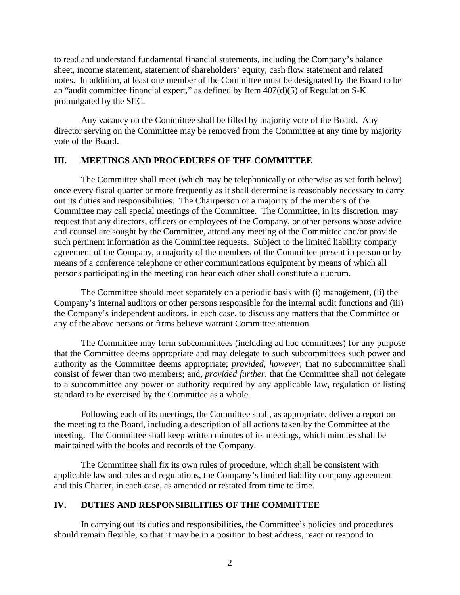to read and understand fundamental financial statements, including the Company's balance sheet, income statement, statement of shareholders' equity, cash flow statement and related notes. In addition, at least one member of the Committee must be designated by the Board to be an "audit committee financial expert," as defined by Item  $407(d)(5)$  of Regulation S-K promulgated by the SEC.

Any vacancy on the Committee shall be filled by majority vote of the Board. Any director serving on the Committee may be removed from the Committee at any time by majority vote of the Board.

#### **III. MEETINGS AND PROCEDURES OF THE COMMITTEE**

The Committee shall meet (which may be telephonically or otherwise as set forth below) once every fiscal quarter or more frequently as it shall determine is reasonably necessary to carry out its duties and responsibilities. The Chairperson or a majority of the members of the Committee may call special meetings of the Committee. The Committee, in its discretion, may request that any directors, officers or employees of the Company, or other persons whose advice and counsel are sought by the Committee, attend any meeting of the Committee and/or provide such pertinent information as the Committee requests. Subject to the limited liability company agreement of the Company, a majority of the members of the Committee present in person or by means of a conference telephone or other communications equipment by means of which all persons participating in the meeting can hear each other shall constitute a quorum.

The Committee should meet separately on a periodic basis with (i) management, (ii) the Company's internal auditors or other persons responsible for the internal audit functions and (iii) the Company's independent auditors, in each case, to discuss any matters that the Committee or any of the above persons or firms believe warrant Committee attention.

The Committee may form subcommittees (including ad hoc committees) for any purpose that the Committee deems appropriate and may delegate to such subcommittees such power and authority as the Committee deems appropriate; *provided, however,* that no subcommittee shall consist of fewer than two members; and, *provided further*, that the Committee shall not delegate to a subcommittee any power or authority required by any applicable law, regulation or listing standard to be exercised by the Committee as a whole.

Following each of its meetings, the Committee shall, as appropriate, deliver a report on the meeting to the Board, including a description of all actions taken by the Committee at the meeting. The Committee shall keep written minutes of its meetings, which minutes shall be maintained with the books and records of the Company.

The Committee shall fix its own rules of procedure, which shall be consistent with applicable law and rules and regulations, the Company's limited liability company agreement and this Charter, in each case, as amended or restated from time to time.

## **IV. DUTIES AND RESPONSIBILITIES OF THE COMMITTEE**

In carrying out its duties and responsibilities, the Committee's policies and procedures should remain flexible, so that it may be in a position to best address, react or respond to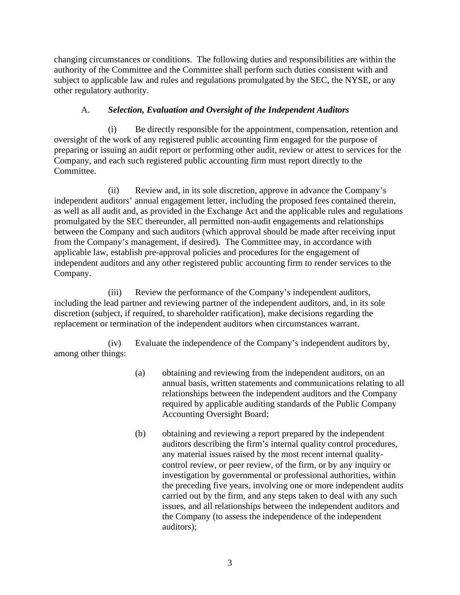changing circumstances or conditions. The following duties and responsibilities are within the authority of the Committee and the Committee shall perform such duties consistent with and subject to applicable law and rules and regulations promulgated by the SEC, the NYSE, or any other regulatory authority.

# A. *Selection, Evaluation and Oversight of the Independent Auditors*

(i) Be directly responsible for the appointment, compensation, retention and oversight of the work of any registered public accounting firm engaged for the purpose of preparing or issuing an audit report or performing other audit, review or attest to services for the Company, and each such registered public accounting firm must report directly to the Committee.

(ii) Review and, in its sole discretion, approve in advance the Company's independent auditors' annual engagement letter, including the proposed fees contained therein, as well as all audit and, as provided in the Exchange Act and the applicable rules and regulations promulgated by the SEC thereunder, all permitted non-audit engagements and relationships between the Company and such auditors (which approval should be made after receiving input from the Company's management, if desired). The Committee may, in accordance with applicable law, establish pre-approval policies and procedures for the engagement of independent auditors and any other registered public accounting firm to render services to the Company.

(iii) Review the performance of the Company's independent auditors, including the lead partner and reviewing partner of the independent auditors, and, in its sole discretion (subject, if required, to shareholder ratification), make decisions regarding the replacement or termination of the independent auditors when circumstances warrant.

(iv) Evaluate the independence of the Company's independent auditors by, among other things:

- (a) obtaining and reviewing from the independent auditors, on an annual basis, written statements and communications relating to all relationships between the independent auditors and the Company required by applicable auditing standards of the Public Company Accounting Oversight Board;
- (b) obtaining and reviewing a report prepared by the independent auditors describing the firm's internal quality control procedures, any material issues raised by the most recent internal qualitycontrol review, or peer review, of the firm, or by any inquiry or investigation by governmental or professional authorities, within the preceding five years, involving one or more independent audits carried out by the firm, and any steps taken to deal with any such issues, and all relationships between the independent auditors and the Company (to assess the independence of the independent auditors);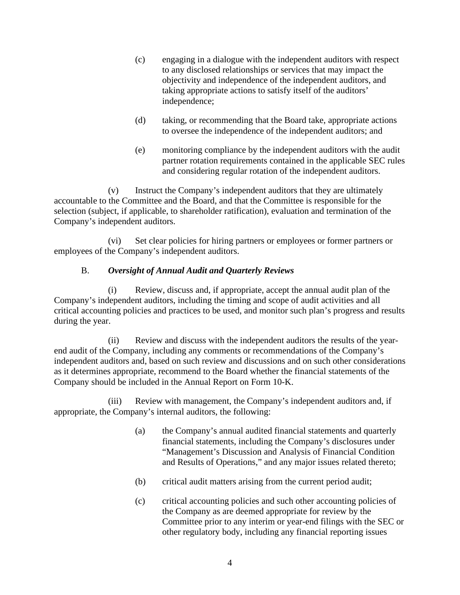- (c) engaging in a dialogue with the independent auditors with respect to any disclosed relationships or services that may impact the objectivity and independence of the independent auditors, and taking appropriate actions to satisfy itself of the auditors' independence;
- (d) taking, or recommending that the Board take, appropriate actions to oversee the independence of the independent auditors; and
- (e) monitoring compliance by the independent auditors with the audit partner rotation requirements contained in the applicable SEC rules and considering regular rotation of the independent auditors.

(v) Instruct the Company's independent auditors that they are ultimately accountable to the Committee and the Board, and that the Committee is responsible for the selection (subject, if applicable, to shareholder ratification), evaluation and termination of the Company's independent auditors.

(vi) Set clear policies for hiring partners or employees or former partners or employees of the Company's independent auditors.

# B. *Oversight of Annual Audit and Quarterly Reviews*

(i) Review, discuss and, if appropriate, accept the annual audit plan of the Company's independent auditors, including the timing and scope of audit activities and all critical accounting policies and practices to be used, and monitor such plan's progress and results during the year.

(ii) Review and discuss with the independent auditors the results of the yearend audit of the Company, including any comments or recommendations of the Company's independent auditors and, based on such review and discussions and on such other considerations as it determines appropriate, recommend to the Board whether the financial statements of the Company should be included in the Annual Report on Form 10-K.

(iii) Review with management, the Company's independent auditors and, if appropriate, the Company's internal auditors, the following:

- (a) the Company's annual audited financial statements and quarterly financial statements, including the Company's disclosures under "Management's Discussion and Analysis of Financial Condition and Results of Operations," and any major issues related thereto;
- (b) critical audit matters arising from the current period audit;
- (c) critical accounting policies and such other accounting policies of the Company as are deemed appropriate for review by the Committee prior to any interim or year-end filings with the SEC or other regulatory body, including any financial reporting issues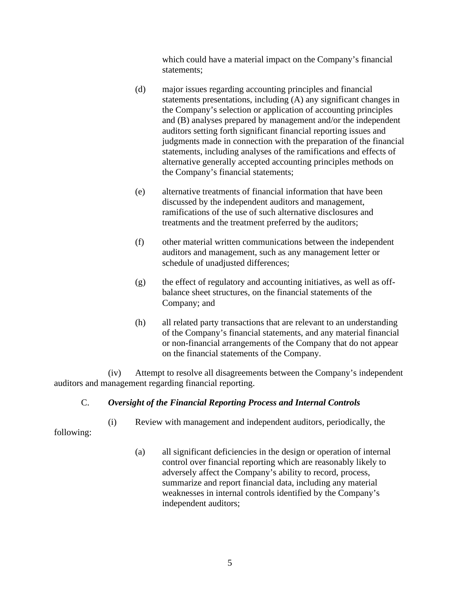which could have a material impact on the Company's financial statements;

- (d) major issues regarding accounting principles and financial statements presentations, including (A) any significant changes in the Company's selection or application of accounting principles and (B) analyses prepared by management and/or the independent auditors setting forth significant financial reporting issues and judgments made in connection with the preparation of the financial statements, including analyses of the ramifications and effects of alternative generally accepted accounting principles methods on the Company's financial statements;
- (e) alternative treatments of financial information that have been discussed by the independent auditors and management, ramifications of the use of such alternative disclosures and treatments and the treatment preferred by the auditors;
- (f) other material written communications between the independent auditors and management, such as any management letter or schedule of unadjusted differences;
- (g) the effect of regulatory and accounting initiatives, as well as offbalance sheet structures, on the financial statements of the Company; and
- (h) all related party transactions that are relevant to an understanding of the Company's financial statements, and any material financial or non-financial arrangements of the Company that do not appear on the financial statements of the Company.

(iv) Attempt to resolve all disagreements between the Company's independent auditors and management regarding financial reporting.

## C. *Oversight of the Financial Reporting Process and Internal Controls*

following:

- (i) Review with management and independent auditors, periodically, the
	- (a) all significant deficiencies in the design or operation of internal control over financial reporting which are reasonably likely to adversely affect the Company's ability to record, process, summarize and report financial data, including any material weaknesses in internal controls identified by the Company's independent auditors;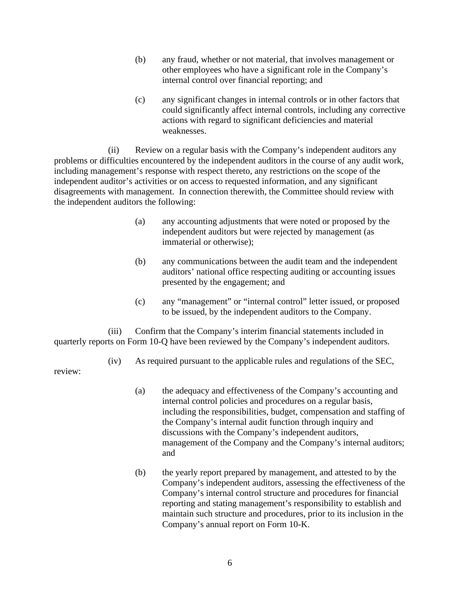- (b) any fraud, whether or not material, that involves management or other employees who have a significant role in the Company's internal control over financial reporting; and
- (c) any significant changes in internal controls or in other factors that could significantly affect internal controls, including any corrective actions with regard to significant deficiencies and material weaknesses.

(ii) Review on a regular basis with the Company's independent auditors any problems or difficulties encountered by the independent auditors in the course of any audit work, including management's response with respect thereto, any restrictions on the scope of the independent auditor's activities or on access to requested information, and any significant disagreements with management. In connection therewith, the Committee should review with the independent auditors the following:

- (a) any accounting adjustments that were noted or proposed by the independent auditors but were rejected by management (as immaterial or otherwise);
- (b) any communications between the audit team and the independent auditors' national office respecting auditing or accounting issues presented by the engagement; and
- (c) any "management" or "internal control" letter issued, or proposed to be issued, by the independent auditors to the Company.

(iii) Confirm that the Company's interim financial statements included in quarterly reports on Form 10-Q have been reviewed by the Company's independent auditors.

(iv) As required pursuant to the applicable rules and regulations of the SEC,

review:

- (a) the adequacy and effectiveness of the Company's accounting and internal control policies and procedures on a regular basis, including the responsibilities, budget, compensation and staffing of the Company's internal audit function through inquiry and discussions with the Company's independent auditors, management of the Company and the Company's internal auditors; and
- (b) the yearly report prepared by management, and attested to by the Company's independent auditors, assessing the effectiveness of the Company's internal control structure and procedures for financial reporting and stating management's responsibility to establish and maintain such structure and procedures, prior to its inclusion in the Company's annual report on Form 10-K.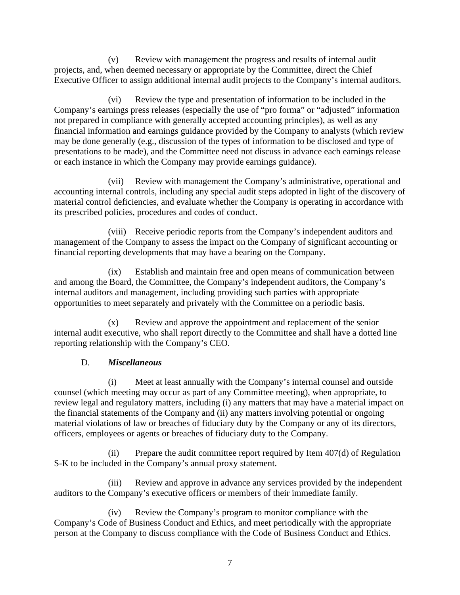(v) Review with management the progress and results of internal audit projects, and, when deemed necessary or appropriate by the Committee, direct the Chief Executive Officer to assign additional internal audit projects to the Company's internal auditors.

(vi) Review the type and presentation of information to be included in the Company's earnings press releases (especially the use of "pro forma" or "adjusted" information not prepared in compliance with generally accepted accounting principles), as well as any financial information and earnings guidance provided by the Company to analysts (which review may be done generally (e.g., discussion of the types of information to be disclosed and type of presentations to be made), and the Committee need not discuss in advance each earnings release or each instance in which the Company may provide earnings guidance).

(vii) Review with management the Company's administrative, operational and accounting internal controls, including any special audit steps adopted in light of the discovery of material control deficiencies, and evaluate whether the Company is operating in accordance with its prescribed policies, procedures and codes of conduct.

(viii) Receive periodic reports from the Company's independent auditors and management of the Company to assess the impact on the Company of significant accounting or financial reporting developments that may have a bearing on the Company.

(ix) Establish and maintain free and open means of communication between and among the Board, the Committee, the Company's independent auditors, the Company's internal auditors and management, including providing such parties with appropriate opportunities to meet separately and privately with the Committee on a periodic basis.

(x) Review and approve the appointment and replacement of the senior internal audit executive, who shall report directly to the Committee and shall have a dotted line reporting relationship with the Company's CEO.

## D. *Miscellaneous*

(i) Meet at least annually with the Company's internal counsel and outside counsel (which meeting may occur as part of any Committee meeting), when appropriate, to review legal and regulatory matters, including (i) any matters that may have a material impact on the financial statements of the Company and (ii) any matters involving potential or ongoing material violations of law or breaches of fiduciary duty by the Company or any of its directors, officers, employees or agents or breaches of fiduciary duty to the Company.

(ii) Prepare the audit committee report required by Item 407(d) of Regulation S-K to be included in the Company's annual proxy statement.

(iii) Review and approve in advance any services provided by the independent auditors to the Company's executive officers or members of their immediate family.

(iv) Review the Company's program to monitor compliance with the Company's Code of Business Conduct and Ethics, and meet periodically with the appropriate person at the Company to discuss compliance with the Code of Business Conduct and Ethics.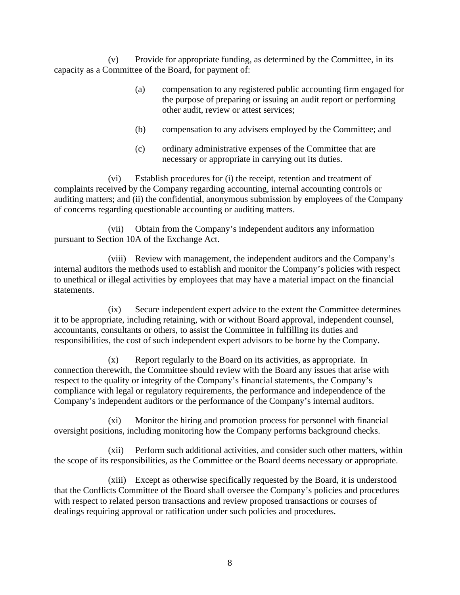(v) Provide for appropriate funding, as determined by the Committee, in its capacity as a Committee of the Board, for payment of:

- (a) compensation to any registered public accounting firm engaged for the purpose of preparing or issuing an audit report or performing other audit, review or attest services;
- (b) compensation to any advisers employed by the Committee; and
- (c) ordinary administrative expenses of the Committee that are necessary or appropriate in carrying out its duties.

(vi) Establish procedures for (i) the receipt, retention and treatment of complaints received by the Company regarding accounting, internal accounting controls or auditing matters; and (ii) the confidential, anonymous submission by employees of the Company of concerns regarding questionable accounting or auditing matters.

(vii) Obtain from the Company's independent auditors any information pursuant to Section 10A of the Exchange Act.

(viii) Review with management, the independent auditors and the Company's internal auditors the methods used to establish and monitor the Company's policies with respect to unethical or illegal activities by employees that may have a material impact on the financial statements.

(ix) Secure independent expert advice to the extent the Committee determines it to be appropriate, including retaining, with or without Board approval, independent counsel, accountants, consultants or others, to assist the Committee in fulfilling its duties and responsibilities, the cost of such independent expert advisors to be borne by the Company.

(x) Report regularly to the Board on its activities, as appropriate. In connection therewith, the Committee should review with the Board any issues that arise with respect to the quality or integrity of the Company's financial statements, the Company's compliance with legal or regulatory requirements, the performance and independence of the Company's independent auditors or the performance of the Company's internal auditors.

(xi) Monitor the hiring and promotion process for personnel with financial oversight positions, including monitoring how the Company performs background checks.

(xii) Perform such additional activities, and consider such other matters, within the scope of its responsibilities, as the Committee or the Board deems necessary or appropriate.

(xiii) Except as otherwise specifically requested by the Board, it is understood that the Conflicts Committee of the Board shall oversee the Company's policies and procedures with respect to related person transactions and review proposed transactions or courses of dealings requiring approval or ratification under such policies and procedures.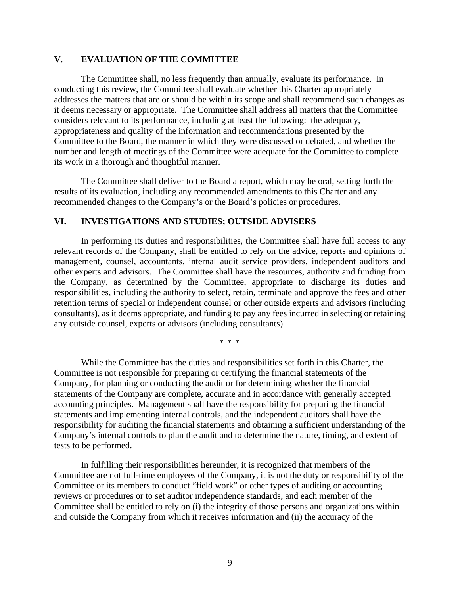#### **V. EVALUATION OF THE COMMITTEE**

The Committee shall, no less frequently than annually, evaluate its performance. In conducting this review, the Committee shall evaluate whether this Charter appropriately addresses the matters that are or should be within its scope and shall recommend such changes as it deems necessary or appropriate. The Committee shall address all matters that the Committee considers relevant to its performance, including at least the following: the adequacy, appropriateness and quality of the information and recommendations presented by the Committee to the Board, the manner in which they were discussed or debated, and whether the number and length of meetings of the Committee were adequate for the Committee to complete its work in a thorough and thoughtful manner.

The Committee shall deliver to the Board a report, which may be oral, setting forth the results of its evaluation, including any recommended amendments to this Charter and any recommended changes to the Company's or the Board's policies or procedures.

#### **VI. INVESTIGATIONS AND STUDIES; OUTSIDE ADVISERS**

In performing its duties and responsibilities, the Committee shall have full access to any relevant records of the Company, shall be entitled to rely on the advice, reports and opinions of management, counsel, accountants, internal audit service providers, independent auditors and other experts and advisors. The Committee shall have the resources, authority and funding from the Company, as determined by the Committee, appropriate to discharge its duties and responsibilities, including the authority to select, retain, terminate and approve the fees and other retention terms of special or independent counsel or other outside experts and advisors (including consultants), as it deems appropriate, and funding to pay any fees incurred in selecting or retaining any outside counsel, experts or advisors (including consultants).

\* \* \*

While the Committee has the duties and responsibilities set forth in this Charter, the Committee is not responsible for preparing or certifying the financial statements of the Company, for planning or conducting the audit or for determining whether the financial statements of the Company are complete, accurate and in accordance with generally accepted accounting principles. Management shall have the responsibility for preparing the financial statements and implementing internal controls, and the independent auditors shall have the responsibility for auditing the financial statements and obtaining a sufficient understanding of the Company's internal controls to plan the audit and to determine the nature, timing, and extent of tests to be performed.

In fulfilling their responsibilities hereunder, it is recognized that members of the Committee are not full-time employees of the Company, it is not the duty or responsibility of the Committee or its members to conduct "field work" or other types of auditing or accounting reviews or procedures or to set auditor independence standards, and each member of the Committee shall be entitled to rely on (i) the integrity of those persons and organizations within and outside the Company from which it receives information and (ii) the accuracy of the